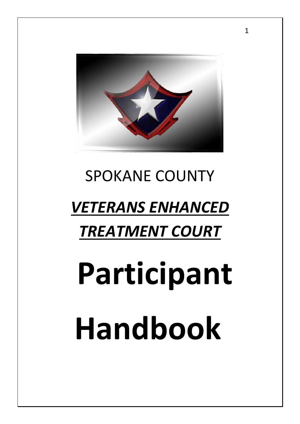

# SPOKANE COUNTY

# *VETERANS ENHANCED TREATMENT COURT*

# **Participant Handbook**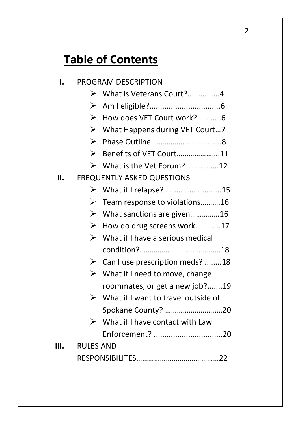# **Table of Contents**

| I. |                                   | PROGRAM DESCRIPTION                                  |  |
|----|-----------------------------------|------------------------------------------------------|--|
|    | ⋗                                 | What is Veterans Court?4                             |  |
|    | ➤                                 |                                                      |  |
|    | ⋗                                 | How does VET Court work?6                            |  |
|    | ➤                                 | What Happens during VET Court7                       |  |
|    | $\blacktriangleright$             |                                                      |  |
|    | ➤                                 | Benefits of VET Court11                              |  |
|    | ⋗                                 | What is the Vet Forum?12                             |  |
| Н. | <b>FREQUENTLY ASKED QUESTIONS</b> |                                                      |  |
|    | ⋗                                 | What if I relapse? 15                                |  |
|    | ➤                                 | Team response to violations16                        |  |
|    | ➤                                 | What sanctions are given16                           |  |
|    | ≻                                 | How do drug screens work17                           |  |
|    |                                   | $\triangleright$ What if I have a serious medical    |  |
|    |                                   |                                                      |  |
|    | ➤                                 | Can I use prescription meds? 18                      |  |
|    | ⋗                                 | What if I need to move, change                       |  |
|    |                                   | roommates, or get a new job?19                       |  |
|    |                                   | $\triangleright$ What if I want to travel outside of |  |
|    |                                   | Spokane County? 20                                   |  |
|    |                                   | $\triangleright$ What if I have contact with Law     |  |
|    |                                   | Enforcement? 20                                      |  |
| Ш. | <b>RULES AND</b>                  |                                                      |  |
|    |                                   |                                                      |  |
|    |                                   |                                                      |  |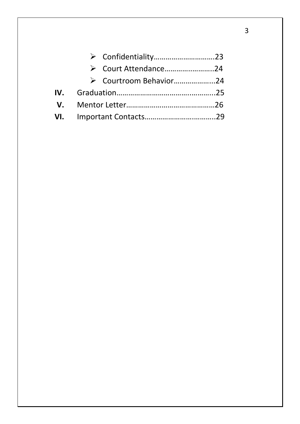| > Court Attendance24   |  |
|------------------------|--|
| ▶ Courtroom Behavior24 |  |
|                        |  |
|                        |  |
|                        |  |

3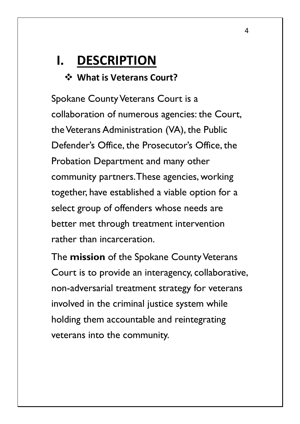# **I. DESCRIPTION**

❖ **What is Veterans Court?**

Spokane County Veterans Court is a collaboration of numerous agencies: the Court, the Veterans Administration (VA), the Public Defender's Office, the Prosecutor's Office, the Probation Department and many other community partners. These agencies, working together, have established a viable option for a select group of offenders whose needs are better met through treatment intervention rather than incarceration.

The **mission** of the Spokane County Veterans Court is to provide an interagency, collaborative, non-adversarial treatment strategy for veterans involved in the criminal justice system while holding them accountable and reintegrating veterans into the community.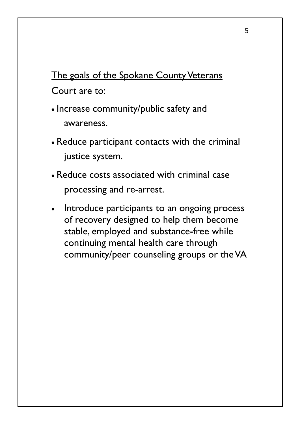## The goals of the Spokane County Veterans Court are to:

- Increase community/public safety and awareness.
- Reduce participant contacts with the criminal justice system.
- Reduce costs associated with criminal case processing and re-arrest.
- Introduce participants to an ongoing process of recovery designed to help them become stable, employed and substance-free while continuing mental health care through community/peer counseling groups or the VA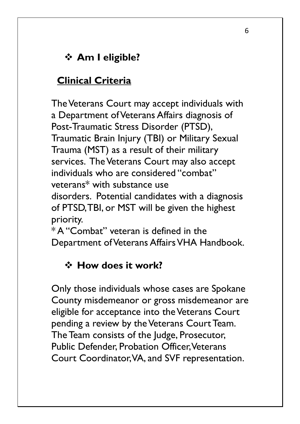#### ❖ **Am I eligible?**

#### **Clinical Criteria**

The Veterans Court may accept individuals with a Department of Veterans Affairs diagnosis of Post-Traumatic Stress Disorder (PTSD), Traumatic Brain Injury (TBI) or Military Sexual Trauma (MST) as a result of their military services. The Veterans Court may also accept individuals who are considered "combat" veterans\* with substance use disorders. Potential candidates with a diagnosis of PTSD, TBI, or MST will be given the highest priority.

\* A "Combat" veteran is defined in the Department of Veterans Affairs VHA Handbook.

#### ❖ **How does it work?**

Only those individuals whose cases are Spokane County misdemeanor or gross misdemeanor are eligible for acceptance into the Veterans Court pending a review by the Veterans Court Team. The Team consists of the Judge, Prosecutor, Public Defender, Probation Officer, Veterans Court Coordinator,VA, and SVF representation.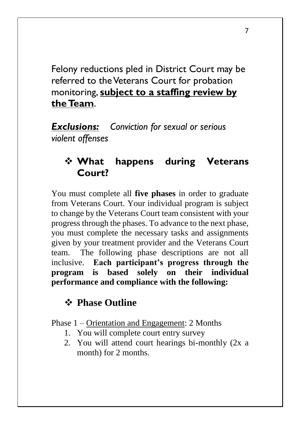Felony reductions pled in District Court may be referred to the Veterans Court for probation monitoring, **subject to a staffing review by the Team**.

*Exclusions: Conviction for sexual or serious violent offenses*

#### ❖ **What happens during Veterans Court?**

You must complete all **five phases** in order to graduate from Veterans Court. Your individual program is subject to change by the Veterans Court team consistent with your progress through the phases. To advance to the next phase, you must complete the necessary tasks and assignments given by your treatment provider and the Veterans Court team. The following phase descriptions are not all inclusive. **Each participant's progress through the program is based solely on their individual performance and compliance with the following:**

#### ❖ **Phase Outline**

Phase 1 – Orientation and Engagement: 2 Months

- 1. You will complete court entry survey
- 2. You will attend court hearings bi-monthly (2x a month) for 2 months.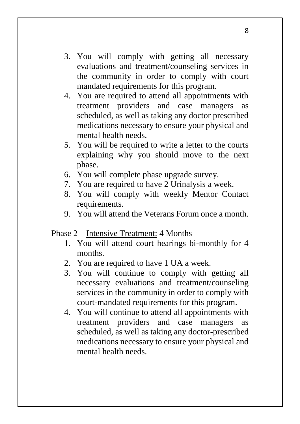- 3. You will comply with getting all necessary evaluations and treatment/counseling services in the community in order to comply with court mandated requirements for this program.
- 4. You are required to attend all appointments with treatment providers and case managers as scheduled, as well as taking any doctor prescribed medications necessary to ensure your physical and mental health needs.
- 5. You will be required to write a letter to the courts explaining why you should move to the next phase.
- 6. You will complete phase upgrade survey.
- 7. You are required to have 2 Urinalysis a week.
- 8. You will comply with weekly Mentor Contact requirements.
- 9. You will attend the Veterans Forum once a month.

Phase 2 – Intensive Treatment: 4 Months

- 1. You will attend court hearings bi-monthly for 4 months.
- 2. You are required to have 1 UA a week.
- 3. You will continue to comply with getting all necessary evaluations and treatment/counseling services in the community in order to comply with court-mandated requirements for this program.
- 4. You will continue to attend all appointments with treatment providers and case managers scheduled, as well as taking any doctor-prescribed medications necessary to ensure your physical and mental health needs.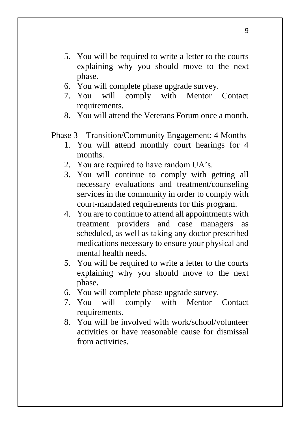- 5. You will be required to write a letter to the courts explaining why you should move to the next phase.
- 6. You will complete phase upgrade survey.
- 7. You will comply with Mentor Contact requirements.
- 8. You will attend the Veterans Forum once a month.

Phase 3 – Transition/Community Engagement: 4 Months

- 1. You will attend monthly court hearings for 4 months.
- 2. You are required to have random UA's.
- 3. You will continue to comply with getting all necessary evaluations and treatment/counseling services in the community in order to comply with court-mandated requirements for this program.
- 4. You are to continue to attend all appointments with treatment providers and case managers as scheduled, as well as taking any doctor prescribed medications necessary to ensure your physical and mental health needs.
- 5. You will be required to write a letter to the courts explaining why you should move to the next phase.
- 6. You will complete phase upgrade survey.
- 7. You will comply with Mentor Contact requirements.
- 8. You will be involved with work/school/volunteer activities or have reasonable cause for dismissal from activities.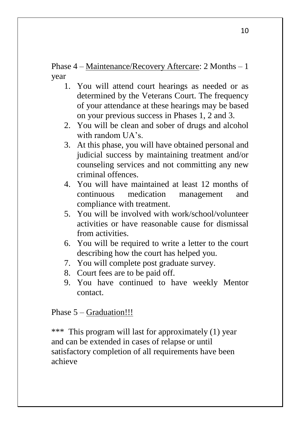Phase 4 – Maintenance/Recovery Aftercare: 2 Months – 1 year

- 1. You will attend court hearings as needed or as determined by the Veterans Court. The frequency of your attendance at these hearings may be based on your previous success in Phases 1, 2 and 3.
- 2. You will be clean and sober of drugs and alcohol with random UA's.
- 3. At this phase, you will have obtained personal and judicial success by maintaining treatment and/or counseling services and not committing any new criminal offences.
- 4. You will have maintained at least 12 months of continuous medication management and compliance with treatment.
- 5. You will be involved with work/school/volunteer activities or have reasonable cause for dismissal from activities.
- 6. You will be required to write a letter to the court describing how the court has helped you.
- 7. You will complete post graduate survey.
- 8. Court fees are to be paid off.
- 9. You have continued to have weekly Mentor contact.

#### Phase 5 – Graduation!!!

\*\*\* This program will last for approximately (1) year and can be extended in cases of relapse or until satisfactory completion of all requirements have been achieve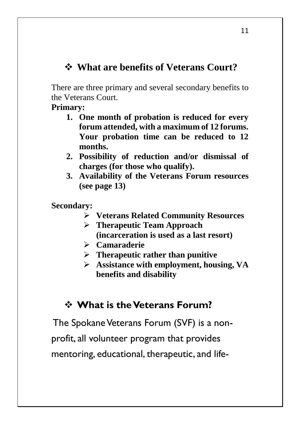#### ❖ **What are benefits of Veterans Court?**

There are three primary and several secondary benefits to the Veterans Court.

#### **Primary:**

- **1. One month of probation is reduced for every forum attended, with a maximum of 12 forums. Your probation time can be reduced to 12 months.**
- **2. Possibility of reduction and/or dismissal of charges (for those who qualify).**
- **3. Availability of the Veterans Forum resources (see page 13)**

**Secondary:**

- ➢ **Veterans Related Community Resources**
- ➢ **Therapeutic Team Approach (incarceration is used as a last resort)**
- ➢ **Camaraderie**
- ➢ **Therapeutic rather than punitive**
- ➢ **Assistance with employment, housing, VA benefits and disability**

#### ❖ **What is the Veterans Forum?**

The Spokane Veterans Forum (SVF) is a non-

profit, all volunteer program that provides

mentoring, educational, therapeutic, and life-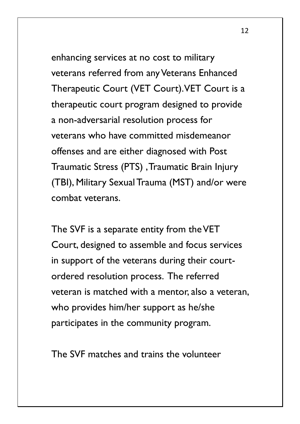enhancing services at no cost to military veterans referred from any Veterans Enhanced Therapeutic Court (VET Court). VET Court is a therapeutic court program designed to provide a non-adversarial resolution process for veterans who have committed misdemeanor offenses and are either diagnosed with Post Traumatic Stress (PTS) , Traumatic Brain Injury (TBI), Military Sexual Trauma (MST) and/or were combat veterans.

The SVF is a separate entity from the VET Court, designed to assemble and focus services in support of the veterans during their courtordered resolution process. The referred veteran is matched with a mentor, also a veteran, who provides him/her support as he/she participates in the community program.

The SVF matches and trains the volunteer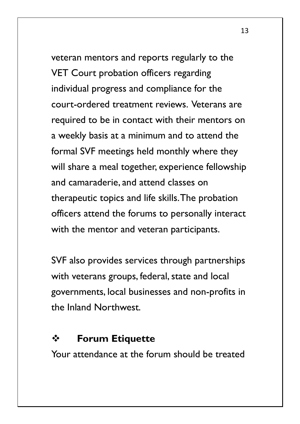veteran mentors and reports regularly to the VET Court probation officers regarding individual progress and compliance for the court-ordered treatment reviews. Veterans are required to be in contact with their mentors on a weekly basis at a minimum and to attend the formal SVF meetings held monthly where they will share a meal together, experience fellowship and camaraderie, and attend classes on therapeutic topics and life skills. The probation officers attend the forums to personally interact with the mentor and veteran participants.

SVF also provides services through partnerships with veterans groups, federal, state and local governments, local businesses and non-profits in the Inland Northwest.

#### ❖ **Forum Etiquette**

Your attendance at the forum should be treated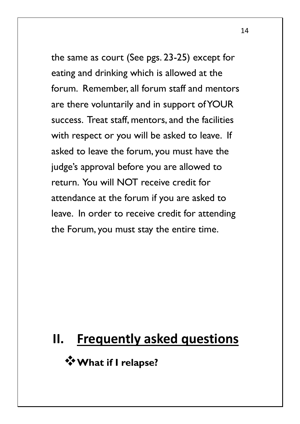the same as court (See pgs. 23-25) except for eating and drinking which is allowed at the forum. Remember, all forum staff and mentors are there voluntarily and in support of YOUR success. Treat staff, mentors, and the facilities with respect or you will be asked to leave. If asked to leave the forum, you must have the judge's approval before you are allowed to return. You will NOT receive credit for attendance at the forum if you are asked to leave. In order to receive credit for attending the Forum, you must stay the entire time.

# **II. Frequently asked questions**

❖**What if I relapse?**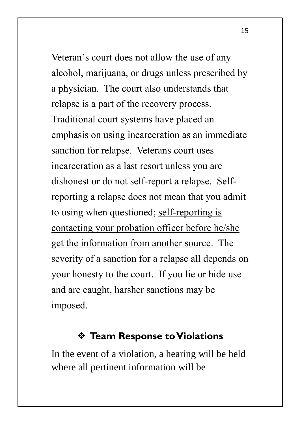Veteran's court does not allow the use of any alcohol, marijuana, or drugs unless prescribed by a physician. The court also understands that relapse is a part of the recovery process. Traditional court systems have placed an emphasis on using incarceration as an immediate sanction for relapse. Veterans court uses incarceration as a last resort unless you are dishonest or do not self-report a relapse. Selfreporting a relapse does not mean that you admit to using when questioned; self-reporting is contacting your probation officer before he/she get the information from another source. The severity of a sanction for a relapse all depends on your honesty to the court. If you lie or hide use and are caught, harsher sanctions may be imposed.

#### ❖ **Team Response to Violations**

In the event of a violation, a hearing will be held where all pertinent information will be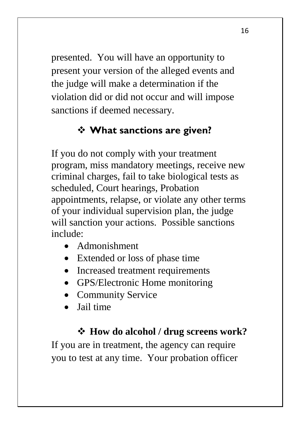presented. You will have an opportunity to present your version of the alleged events and the judge will make a determination if the violation did or did not occur and will impose sanctions if deemed necessary.

#### ❖ **What sanctions are given?**

If you do not comply with your treatment program, miss mandatory meetings, receive new criminal charges, fail to take biological tests as scheduled, Court hearings, Probation appointments, relapse, or violate any other terms of your individual supervision plan, the judge will sanction your actions. Possible sanctions include:

- Admonishment
- Extended or loss of phase time
- Increased treatment requirements
- GPS/Electronic Home monitoring
- Community Service
- Jail time

#### ❖ **How do alcohol / drug screens work?**

If you are in treatment, the agency can require you to test at any time. Your probation officer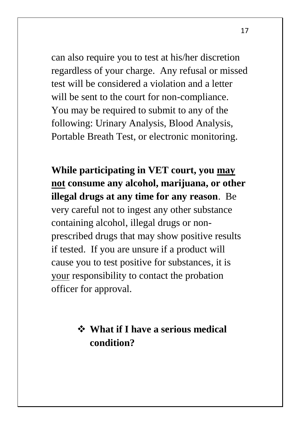can also require you to test at his/her discretion regardless of your charge. Any refusal or missed test will be considered a violation and a letter will be sent to the court for non-compliance. You may be required to submit to any of the following: Urinary Analysis, Blood Analysis, Portable Breath Test, or electronic monitoring.

**While participating in VET court, you may not consume any alcohol, marijuana, or other illegal drugs at any time for any reason**. Be very careful not to ingest any other substance containing alcohol, illegal drugs or nonprescribed drugs that may show positive results if tested. If you are unsure if a product will cause you to test positive for substances, it is your responsibility to contact the probation officer for approval.

#### ❖ **What if I have a serious medical condition?**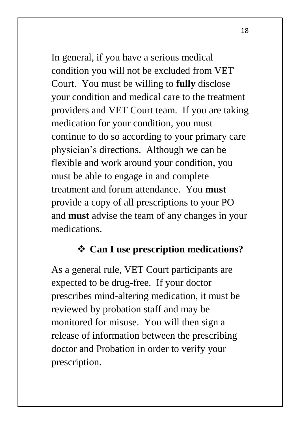In general, if you have a serious medical condition you will not be excluded from VET Court. You must be willing to **fully** disclose your condition and medical care to the treatment providers and VET Court team. If you are taking medication for your condition, you must continue to do so according to your primary care physician's directions. Although we can be flexible and work around your condition, you must be able to engage in and complete treatment and forum attendance. You **must** provide a copy of all prescriptions to your PO and **must** advise the team of any changes in your medications.

#### ❖ **Can I use prescription medications?**

As a general rule, VET Court participants are expected to be drug-free. If your doctor prescribes mind-altering medication, it must be reviewed by probation staff and may be monitored for misuse. You will then sign a release of information between the prescribing doctor and Probation in order to verify your prescription.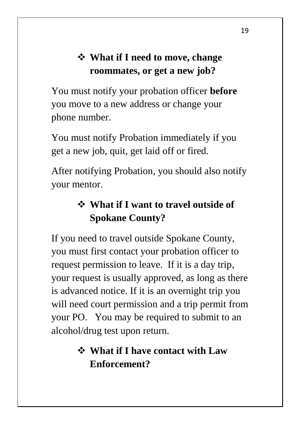#### ❖ **What if I need to move, change roommates, or get a new job?**

You must notify your probation officer **before** you move to a new address or change your phone number.

You must notify Probation immediately if you get a new job, quit, get laid off or fired.

After notifying Probation, you should also notify your mentor.

## ❖ **What if I want to travel outside of Spokane County?**

If you need to travel outside Spokane County, you must first contact your probation officer to request permission to leave. If it is a day trip, your request is usually approved, as long as there is advanced notice. If it is an overnight trip you will need court permission and a trip permit from your PO. You may be required to submit to an alcohol/drug test upon return.

## ❖ **What if I have contact with Law Enforcement?**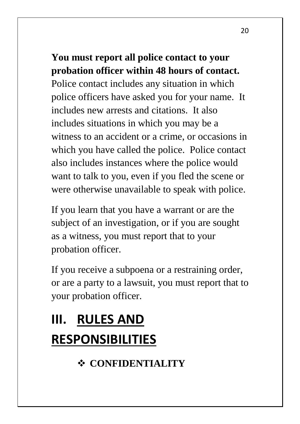#### **You must report all police contact to your probation officer within 48 hours of contact.**

Police contact includes any situation in which police officers have asked you for your name. It includes new arrests and citations. It also includes situations in which you may be a witness to an accident or a crime, or occasions in which you have called the police. Police contact also includes instances where the police would want to talk to you, even if you fled the scene or were otherwise unavailable to speak with police.

If you learn that you have a warrant or are the subject of an investigation, or if you are sought as a witness, you must report that to your probation officer.

If you receive a subpoena or a restraining order, or are a party to a lawsuit, you must report that to your probation officer.

# **III. RULES AND RESPONSIBILITIES**

❖ **CONFIDENTIALITY**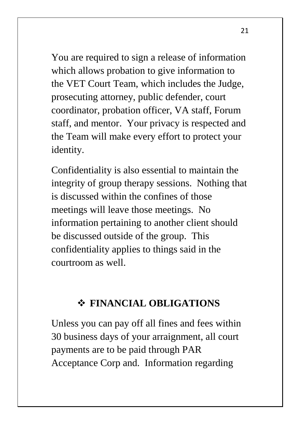You are required to sign a release of information which allows probation to give information to the VET Court Team, which includes the Judge, prosecuting attorney, public defender, court coordinator, probation officer, VA staff, Forum staff, and mentor. Your privacy is respected and the Team will make every effort to protect your identity.

Confidentiality is also essential to maintain the integrity of group therapy sessions. Nothing that is discussed within the confines of those meetings will leave those meetings. No information pertaining to another client should be discussed outside of the group. This confidentiality applies to things said in the courtroom as well.

#### ❖ **FINANCIAL OBLIGATIONS**

Unless you can pay off all fines and fees within 30 business days of your arraignment, all court payments are to be paid through PAR Acceptance Corp and. Information regarding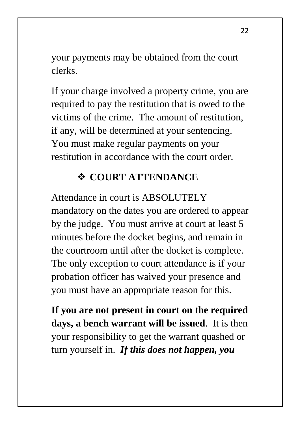your payments may be obtained from the court clerks.

If your charge involved a property crime, you are required to pay the restitution that is owed to the victims of the crime. The amount of restitution, if any, will be determined at your sentencing. You must make regular payments on your restitution in accordance with the court order.

#### ❖ **COURT ATTENDANCE**

Attendance in court is ABSOLUTELY mandatory on the dates you are ordered to appear by the judge. You must arrive at court at least 5 minutes before the docket begins, and remain in the courtroom until after the docket is complete. The only exception to court attendance is if your probation officer has waived your presence and you must have an appropriate reason for this.

**If you are not present in court on the required days, a bench warrant will be issued**. It is then your responsibility to get the warrant quashed or turn yourself in. *If this does not happen, you*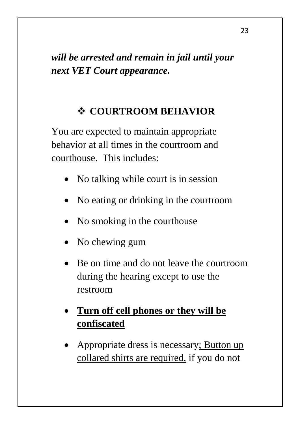*will be arrested and remain in jail until your next VET Court appearance.*

#### ❖ **COURTROOM BEHAVIOR**

You are expected to maintain appropriate behavior at all times in the courtroom and courthouse. This includes:

- No talking while court is in session
- No eating or drinking in the courtroom
- No smoking in the courthouse
- No chewing gum
- Be on time and do not leave the courtroom during the hearing except to use the restroom
- **Turn off cell phones or they will be confiscated**
- Appropriate dress is necessary; Button up collared shirts are required, if you do not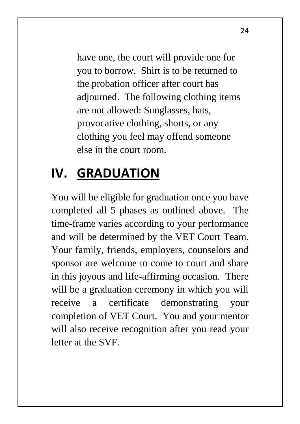have one, the court will provide one for you to borrow. Shirt is to be returned to the probation officer after court has adjourned. The following clothing items are not allowed: Sunglasses, hats, provocative clothing, shorts, or any clothing you feel may offend someone else in the court room.

# **IV. GRADUATION**

You will be eligible for graduation once you have completed all 5 phases as outlined above. The time-frame varies according to your performance and will be determined by the VET Court Team. Your family, friends, employers, counselors and sponsor are welcome to come to court and share in this joyous and life-affirming occasion. There will be a graduation ceremony in which you will receive a certificate demonstrating your completion of VET Court. You and your mentor will also receive recognition after you read your letter at the SVF.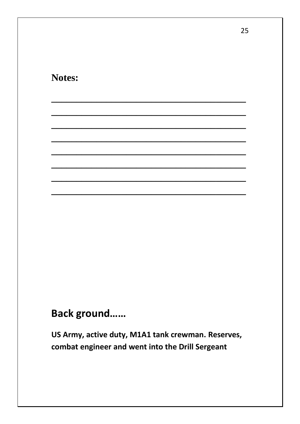| <b>Notes:</b> |  |
|---------------|--|
|---------------|--|

## **Back ground......**

US Army, active duty, M1A1 tank crewman. Reserves, combat engineer and went into the Drill Sergeant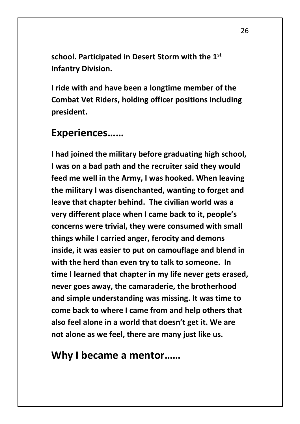**school. Participated in Desert Storm with the 1st Infantry Division.** 

**I ride with and have been a longtime member of the Combat Vet Riders, holding officer positions including president.**

#### **Experiences……**

**I had joined the military before graduating high school, I was on a bad path and the recruiter said they would feed me well in the Army, I was hooked. When leaving the military I was disenchanted, wanting to forget and leave that chapter behind. The civilian world was a very different place when I came back to it, people's concerns were trivial, they were consumed with small things while I carried anger, ferocity and demons inside, it was easier to put on camouflage and blend in with the herd than even try to talk to someone. In time I learned that chapter in my life never gets erased, never goes away, the camaraderie, the brotherhood and simple understanding was missing. It was time to come back to where I came from and help others that also feel alone in a world that doesn't get it. We are not alone as we feel, there are many just like us.**

**Why I became a mentor……**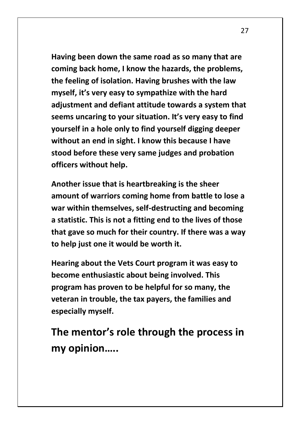**Having been down the same road as so many that are coming back home, I know the hazards, the problems, the feeling of isolation. Having brushes with the law myself, it's very easy to sympathize with the hard adjustment and defiant attitude towards a system that seems uncaring to your situation. It's very easy to find yourself in a hole only to find yourself digging deeper without an end in sight. I know this because I have stood before these very same judges and probation officers without help.** 

**Another issue that is heartbreaking is the sheer amount of warriors coming home from battle to lose a war within themselves, self-destructing and becoming a statistic. This is not a fitting end to the lives of those that gave so much for their country. If there was a way to help just one it would be worth it.** 

**Hearing about the Vets Court program it was easy to become enthusiastic about being involved. This program has proven to be helpful for so many, the veteran in trouble, the tax payers, the families and especially myself.**

**The mentor's role through the process in my opinion…..**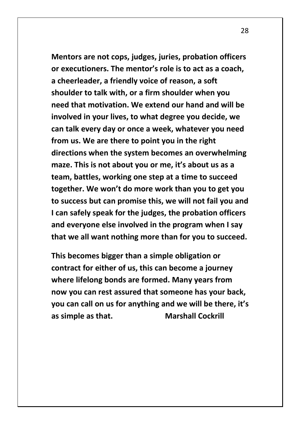**Mentors are not cops, judges, juries, probation officers or executioners. The mentor's role is to act as a coach, a cheerleader, a friendly voice of reason, a soft shoulder to talk with, or a firm shoulder when you need that motivation. We extend our hand and will be involved in your lives, to what degree you decide, we can talk every day or once a week, whatever you need from us. We are there to point you in the right directions when the system becomes an overwhelming maze. This is not about you or me, it's about us as a team, battles, working one step at a time to succeed together. We won't do more work than you to get you to success but can promise this, we will not fail you and I can safely speak for the judges, the probation officers and everyone else involved in the program when I say that we all want nothing more than for you to succeed.** 

**This becomes bigger than a simple obligation or contract for either of us, this can become a journey where lifelong bonds are formed. Many years from now you can rest assured that someone has your back, you can call on us for anything and we will be there, it's as simple as that. Marshall Cockrill**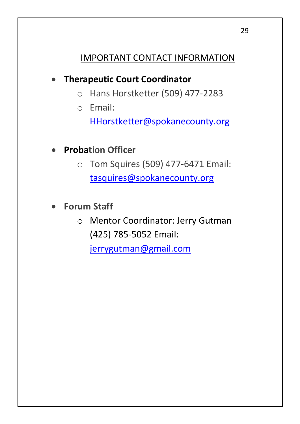#### IMPORTANT CONTACT INFORMATION

#### • **Therapeutic Court Coordinator**

- o Hans Horstketter (509) 477-2283
- o Email:

[HHorstketter@spokanecounty.org](mailto:HHorstketter@spokanecounty.org)

- **Probation Officer**
	- o Tom Squires (509) 477-6471 Email: [tasquires@spokanecounty.org](mailto:tasquires@spokanecounty.org)
- **Forum Staff**
	- o Mentor Coordinator: Jerry Gutman (425) 785-5052 Email:

[jerrygutman@gmail.com](mailto:jerrygutman@gmail.com)